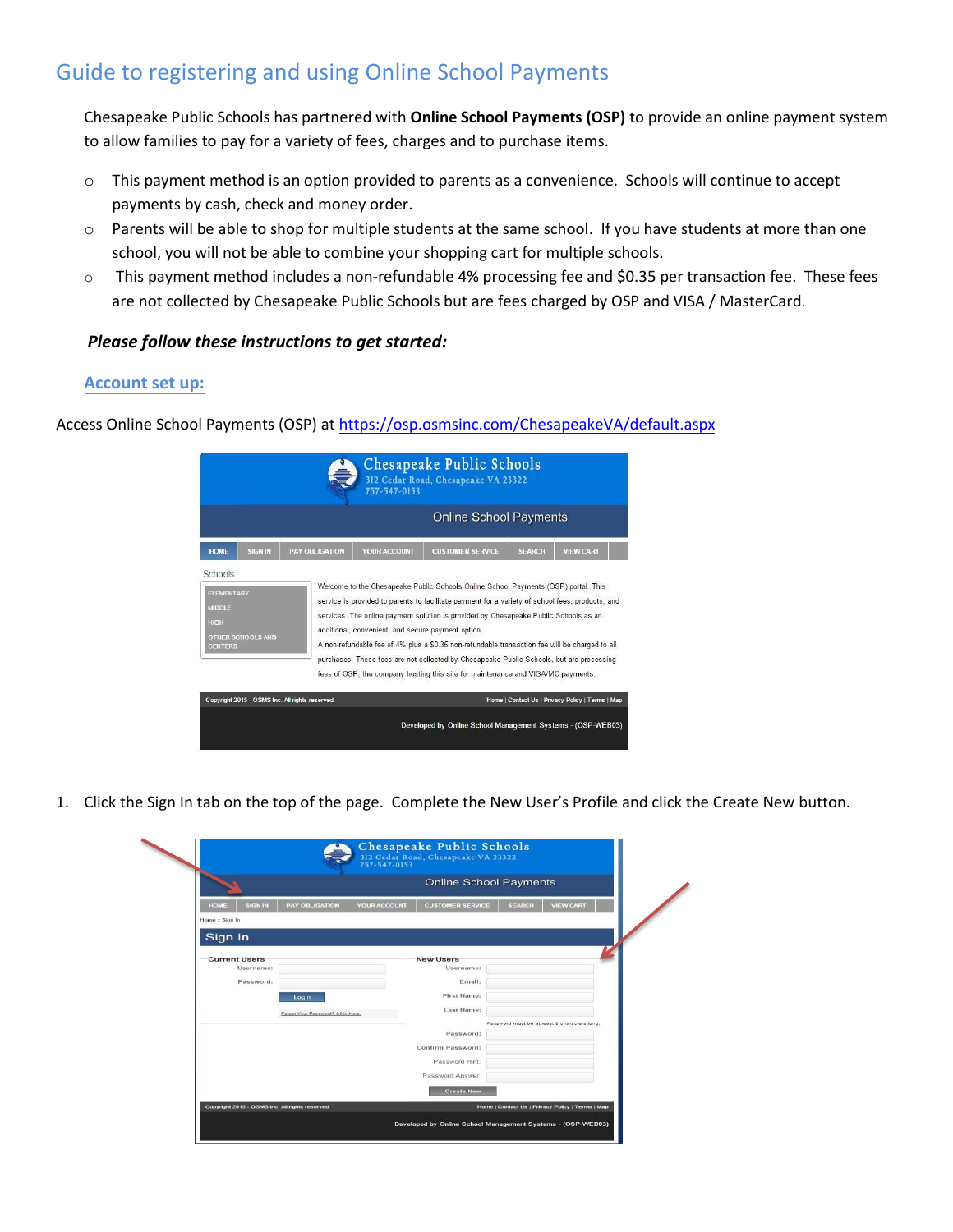# Guide to registering and using Online School Payments

 Chesapeake Public Schools has partnered with **Online School Payments (OSP)** to provide an online payment system to allow families to pay for a variety of fees, charges and to purchase items.

- $\circ$  This payment method is an option provided to parents as a convenience. Schools will continue to accept payments by cash, check and money order.
- $\circ$  Parents will be able to shop for multiple students at the same school. If you have students at more than one school, you will not be able to combine your shopping cart for multiple schools.
- $\circ$  This payment method includes a non-refundable 4% processing fee and \$0.35 per transaction fee. These fees are not collected by Chesapeake Public Schools but are fees charged by OSP and VISA / MasterCard.

## *Please follow these instructions to get started:*

#### **Account set up:**

Access Online School Payments (OSP) at [https://osp.osmsinc.com/ChesapeakeVA](http://osp.osmsinc.com/ChesapeakeVA)/default.aspx

| Chesapeake Public Schools<br>312 Cedar Road, Chesapeake VA 23322<br>757-547-0153                           |                       |                                                    |                                                                                                                                                                                                                                                                                                                                                                                                                                                                                                                                                                  |               |                  |  |  |  |
|------------------------------------------------------------------------------------------------------------|-----------------------|----------------------------------------------------|------------------------------------------------------------------------------------------------------------------------------------------------------------------------------------------------------------------------------------------------------------------------------------------------------------------------------------------------------------------------------------------------------------------------------------------------------------------------------------------------------------------------------------------------------------------|---------------|------------------|--|--|--|
|                                                                                                            |                       | <b>Online School Payments</b>                      |                                                                                                                                                                                                                                                                                                                                                                                                                                                                                                                                                                  |               |                  |  |  |  |
| <b>SIGN IN</b><br><b>HOME</b>                                                                              | <b>PAY OBLIGATION</b> | YOUR ACCOUNT                                       | <b>CUSTOMER SERVICE</b>                                                                                                                                                                                                                                                                                                                                                                                                                                                                                                                                          | <b>SEARCH</b> | <b>VIEW CART</b> |  |  |  |
| Schools<br><b>ELEMENTARY</b><br><b>MIDDLE</b><br><b>HIGH</b><br><b>OTHER SCHOOLS AND</b><br><b>CENTERS</b> |                       | additional, convenient, and secure payment option. | Welcome to the Chesapeake Public Schools Online School Payments (OSP) portal. This<br>service is provided to parents to facilitate payment for a variety of school fees, products, and<br>services. The online payment solution is provided by Chesapeake Public Schools as an<br>A non-refundable fee of 4% plus a \$0.35 non-refundable transaction fee will be charged to all<br>purchases. These fees are not collected by Chesapeake Public Schools, but are processing<br>fees of OSP, the company hosting this site for maintenance and VISA/MC payments. |               |                  |  |  |  |
| Copyright 2015 - OSMS Inc. All rights reserved.                                                            |                       |                                                    | Home   Contact Us   Privacy Policy   Terms   Map                                                                                                                                                                                                                                                                                                                                                                                                                                                                                                                 |               |                  |  |  |  |
|                                                                                                            |                       |                                                    | Developed by Online School Management Systems - (OSP-WEB03)                                                                                                                                                                                                                                                                                                                                                                                                                                                                                                      |               |                  |  |  |  |

1. Click the Sign In tab on the top of the page. Complete the New User's Profile and click the Create New button.

|                                                                                                     |                                                                                                                                              | <b>Online School Payments</b>                    |  |  |  |
|-----------------------------------------------------------------------------------------------------|----------------------------------------------------------------------------------------------------------------------------------------------|--------------------------------------------------|--|--|--|
| <b>PAY OBLIGATION</b><br><b>SIGN IN</b><br><b>HOME</b><br>Home: Sign In                             | <b>YOUR ACCOUNT</b><br><b>CUSTOMER SERVICE</b>                                                                                               | <b>VIEW CART</b><br><b>SEARCH</b>                |  |  |  |
| Sign In                                                                                             |                                                                                                                                              |                                                  |  |  |  |
| <b>Current Users</b><br>Username:<br>Password:<br><b>Login</b><br>Forgot Your Password? Click Here. | <b>New Users</b><br>Username:<br>Email:<br>First Name:<br>Last Name:<br>Password:<br>Confirm Password:<br>Password Hint:<br>Password Answer: | Password must be at least 8 characters long.     |  |  |  |
| Copyright 2015 - OSMS Inc. All rights reserved                                                      | <b>Create New</b>                                                                                                                            | Home   Contact Us   Privacy Policy   Terms   Map |  |  |  |